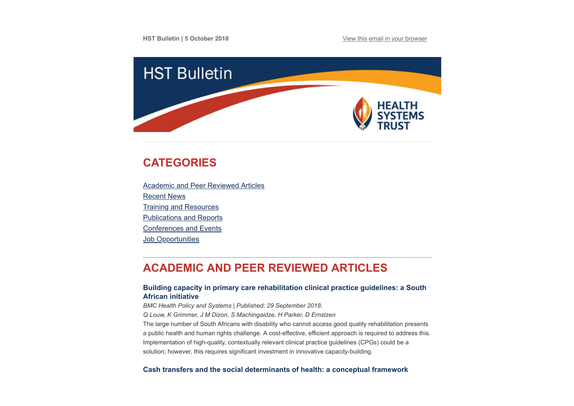

# <span id="page-0-1"></span>**CATEGORIES**

[Academic and Peer Reviewed Articles](#page-0-0) [Recent News](#page-2-0) [Training and Resources](#page-3-0) [Publications and Reports](#page-4-0) [Conferences and Events](#page-4-1) **Job Opportunities** 

# <span id="page-0-0"></span>**ACADEMIC AND PEER REVIEWED ARTICLES**

## **[Building capacity in primary care rehabilitation clinical practice guidelines: a South](https://health-policy-systems.biomedcentral.com/articles/10.1186/s12961-018-0368-z) African initiative**

*BMC Health Policy and Systems | Published: 29 September 2018.*

*Q Louw, K Grimmer, J M Dizon, S Machingaidze, H Parker, D Ernstzen*

The large number of South Africans with disability who cannot access good quality rehabilitation presents a public health and human rights challenge. A cost-effective, efficient approach is required to address this. Implementation of high-quality, contextually relevant clinical practice guidelines (CPGs) could be a solution; however, this requires significant investment in innovative capacity-building.

## **[Cash transfers and the social determinants of health: a conceptual framework](https://academic.oup.com/heapro/advance-article/doi/10.1093/heapro/day079/5113267)**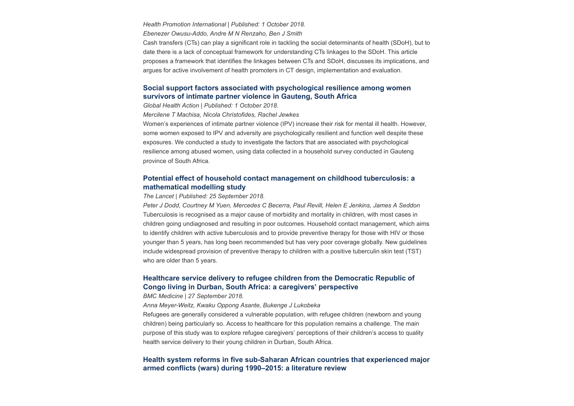*Health Promotion International | Published: 1 October 2018.*

*Ebenezer Owusu-Addo, Andre M N Renzaho, Ben J Smith*

Cash transfers (CTs) can play a significant role in tackling the social determinants of health (SDoH), but to date there is a lack of conceptual framework for understanding CTs linkages to the SDoH. This article proposes a framework that identifies the linkages between CTs and SDoH, discusses its implications, and argues for active involvement of health promoters in CT design, implementation and evaluation.

## **[Social support factors associated with psychological resilience among women](https://www.tandfonline.com/doi/full/10.1080/16549716.2018.1491114) survivors of intimate partner violence in Gauteng, South Africa**

*Global Health Action | Published: 1 October 2018.*

*Mercilene T Machisa, Nicola Christofides, Rachel Jewkes*

Women's experiences of intimate partner violence (IPV) increase their risk for mental ill health. However, some women exposed to IPV and adversity are psychologically resilient and function well despite these exposures. We conducted a study to investigate the factors that are associated with psychological resilience among abused women, using data collected in a household survey conducted in Gauteng province of South Africa.

## **[Potential effect of household contact management on childhood tuberculosis: a](https://www.thelancet.com/journals/langlo/article/PIIS2214-109X(18)30401-7/fulltext) mathematical modelling study**

*The Lancet | Published: 25 September 2018.*

*Peter J Dodd, Courtney M Yuen, Mercedes C Becerra, Paul Revill, Helen E Jenkins, James A Seddon* Tuberculosis is recognised as a major cause of morbidity and mortality in children, with most cases in children going undiagnosed and resulting in poor outcomes. Household contact management, which aims to identify children with active tuberculosis and to provide preventive therapy for those with HIV or those younger than 5 years, has long been recommended but has very poor coverage globally. New guidelines include widespread provision of preventive therapy to children with a positive tuberculin skin test (TST) who are older than 5 years.

## **[Healthcare service delivery to refugee children from the Democratic Republic of](https://bmcmedicine.biomedcentral.com/articles/10.1186/s12916-018-1153-0) Congo living in Durban, South Africa: a caregivers' perspective**

*BMC Medicine | 27 September 2018.*

*Anna Meyer-Weitz, Kwaku Oppong Asante, Bukenge J Lukobeka*

Refugees are generally considered a vulnerable population, with refugee children (newborn and young children) being particularly so. Access to healthcare for this population remains a challenge. The main purpose of this study was to explore refugee caregivers' perceptions of their children's access to quality health service delivery to their young children in Durban, South Africa.

## **[Health system reforms in five sub-Saharan African countries that experienced major](https://www.tandfonline.com/doi/full/10.1080/16549716.2018.1517931) armed conflicts (wars) during 1990–2015: a literature review**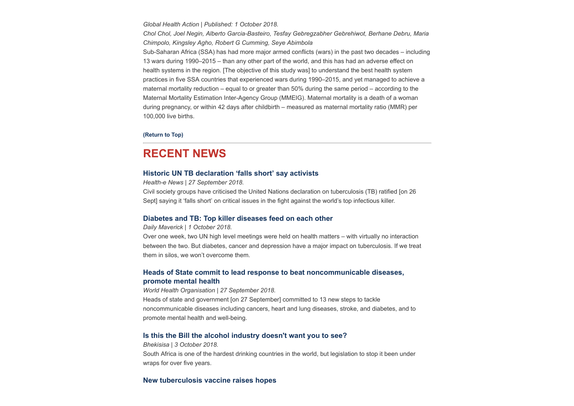*Global Health Action | Published: 1 October 2018.*

*Chol Chol, Joel Negin, Alberto Garcia-Basteiro, Tesfay Gebregzabher Gebrehiwot, Berhane Debru, Maria Chimpolo, Kingsley Agho, Robert G Cumming, Seye Abimbola*

Sub-Saharan Africa (SSA) has had more major armed conflicts (wars) in the past two decades – including 13 wars during 1990–2015 – than any other part of the world, and this has had an adverse effect on health systems in the region. [The objective of this study was] to understand the best health system practices in five SSA countries that experienced wars during 1990–2015, and yet managed to achieve a maternal mortality reduction – equal to or greater than 50% during the same period – according to the Maternal Mortality Estimation Inter-Agency Group (MMEIG). Maternal mortality is a death of a woman during pregnancy, or within 42 days after childbirth – measured as maternal mortality ratio (MMR) per 100,000 live births.

#### **[\(Return to Top\)](#page-0-1)**

## <span id="page-2-0"></span>**RECENT NEWS**

#### **[Historic UN TB declaration 'falls short' say activists](https://www.health-e.org.za/2018/09/27/historic-un-tb-declaration-falls-short-say-activists/)**

*Health-e News | 27 September 2018.*

Civil society groups have criticised the United Nations declaration on tuberculosis (TB) ratified [on 26 Sept] saying it 'falls short' on critical issues in the fight against the world's top infectious killer.

## **[Diabetes and TB: Top killer diseases feed on each other](https://www.dailymaverick.co.za/article/2018-10-01-diabetes-and-tb-top-killer-diseases-feed-on-each-other/)**

*Daily Maverick | 1 October 2018.*

Over one week, two UN high level meetings were held on health matters – with virtually no interaction between the two. But diabetes, cancer and depression have a major impact on tuberculosis. If we treat them in silos, we won't overcome them.

## **[Heads of State commit to lead response to beat noncommunicable diseases,](http://www.who.int/news-room/detail/27-09-2018-heads-of-state-commit-to-lead-response-to-beat-noncommunicable-diseases-promote-mental-health) promote mental health**

*World Health Organisation | 27 September 2018.* Heads of state and government [on 27 September] committed to 13 new steps to tackle noncommunicable diseases including cancers, heart and lung diseases, stroke, and diabetes, and to promote mental health and well-being.

#### **[Is this the Bill the alcohol industry doesn't want you to see?](https://bhekisisa.org/article/2018-10-03-00-the-control-of-marketing-of-alcohol-beverages-bill-government-doesnt-want-you-to-see)**

*Bhekisisa | 3 October 2018.* South Africa is one of the hardest drinking countries in the world, but legislation to stop it been under wraps for over five years.

#### **[New tuberculosis vaccine raises hopes](https://www.groundup.org.za/article/new-tuberculosis-vaccine-raises-hopes-and-concerns/)**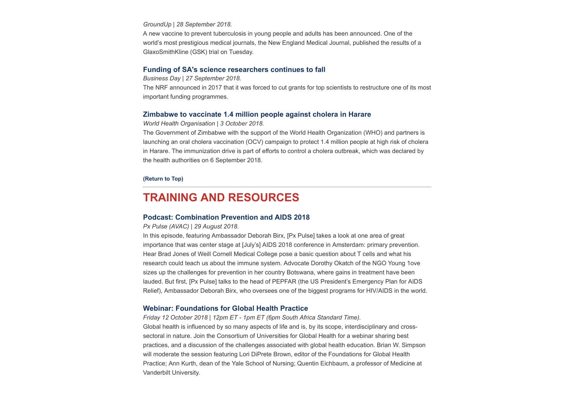#### *GroundUp | 28 September 2018.*

A new vaccine to prevent tuberculosis in young people and adults has been announced. One of the world's most prestigious medical journals, the New England Medical Journal, published the results of a GlaxoSmithKline (GSK) trial on Tuesday.

### **[Funding of SA's science researchers continues to fall](https://www.businesslive.co.za/bd/national/science-and-environment/2018-09-27-funding-of-sas-science-researchers-continues-to-fall/)**

*Business Day | 27 September 2018.*

The NRF announced in 2017 that it was forced to cut grants for top scientists to restructure one of its most important funding programmes.

#### **[Zimbabwe to vaccinate 1.4 million people against cholera in Harare](https://afro.who.int/news/zimbabwe-vaccinate-14-million-people-against-cholera-harare)**

*World Health Organisation | 3 October 2018.*

The Government of Zimbabwe with the support of the World Health Organization (WHO) and partners is launching an oral cholera vaccination (OCV) campaign to protect 1.4 million people at high risk of cholera in Harare. The immunization drive is part of efforts to control a cholera outbreak, which was declared by the health authorities on 6 September 2018.

#### **[\(Return to Top\)](#page-0-1)**

## <span id="page-3-0"></span>**TRAINING AND RESOURCES**

#### **[Podcast: Combination Prevention and AIDS 2018](https://www.avac.org/podcast/combination-prevention-and-aids-2018)**

#### *Px Pulse (AVAC) | 29 August 2018.*

In this episode, featuring Ambassador Deborah Birx, [Px Pulse] takes a look at one area of great importance that was center stage at [July's] AIDS 2018 conference in Amsterdam: primary prevention. Hear Brad Jones of Weill Cornell Medical College pose a basic question about T cells and what his research could teach us about the immune system. Advocate Dorothy Okatch of the NGO Young 1ove sizes up the challenges for prevention in her country Botswana, where gains in treatment have been lauded. But first, [Px Pulse] talks to the head of PEPFAR (the US President's Emergency Plan for AIDS Relief), Ambassador Deborah Birx, who oversees one of the biggest programs for HIV/AIDS in the world.

#### **[Webinar: Foundations for Global Health Practice](https://www.cugh.org/events/webinar-foundations-global-health-practice-how-make-most-your-global-health-course?utm_source=Global+Health+NOW+Main+List&utm_campaign=ee42cacf3e-EMAIL_CAMPAIGN_2018_10_03_12_35&utm_medium=email&utm_term=0_8d0d062dbd-ee42cacf3e-2811001)**

*Friday 12 October 2018 | 12pm ET - 1pm ET (6pm South Africa Standard Time).* Global health is influenced by so many aspects of life and is, by its scope, interdisciplinary and crosssectoral in nature. Join the Consortium of Universities for Global Health for a webinar sharing best practices, and a discussion of the challenges associated with global health education. Brian W. Simpson will moderate the session featuring Lori DiPrete Brown, editor of the Foundations for Global Health Practice; Ann Kurth, dean of the Yale School of Nursing; Quentin Eichbaum, a professor of Medicine at Vanderbilt University.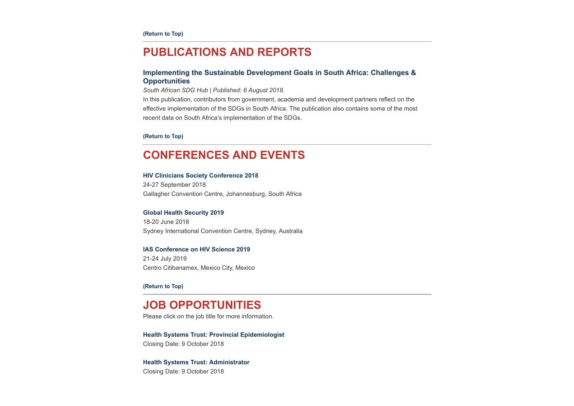## <span id="page-4-0"></span>**PUBLICATIONS AND REPORTS**

## **[Implementing the Sustainable Development Goals in South Africa: Challenges &](http://www.hst.org.za/publications/NonHST%20Publications/Implementing%20the%20SDGs%20in%20South%20Africa.pdf) Opportunities**

*South African SDG Hub | Published: 6 August 2018.*

In this publication, contributors from government, academia and development partners reflect on the effective implementation of the SDGs in South Africa. The publication also contains some of the most recent data on South Africa's implementation of the SDGs.

**[\(Return to Top\)](#page-0-1)**

## <span id="page-4-1"></span>**CONFERENCES AND EVENTS**

#### **[HIV Clinicians Society Conference 2018](http://www.sahivsoc2018.co.za/)**

24-27 September 2018 Gallagher Convention Centre, Johannesburg, South Africa

#### **[Global Health Security 2019](https://www.ghs2019.com/)**

18-20 June 2018 Sydney International Convention Centre, Sydney, Australia

### **[IAS Conference on HIV Science 2019](http://www.ias2019.org/)**

21-24 July 2019 Centro Citibanamex, Mexico City, Mexico

**[\(Return to Top\)](#page-0-1)**

## **JOB OPPORTUNITIES**

Please click on the job title for more information.

**[Health Systems Trust: Provincial Epidemiologist](http://www.hst.org.za/Pages/Provincial-Epidemiologist.aspx)**  Closing Date: 9 October 2018

### **[Health Systems Trust: Administrator](http://www.hst.org.za/Pages/Administrator.aspx)**

Closing Date: 9 October 2018